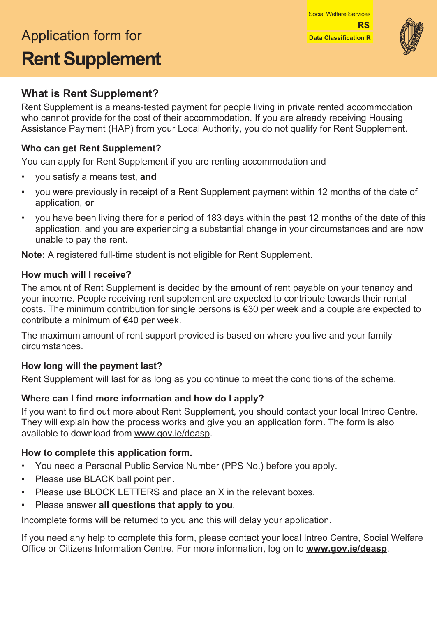# Application form for **Data Classification R Rent Supplement**



# **What is Rent Supplement?**

Rent Supplement is a means-tested payment for people living in private rented accommodation who cannot provide for the cost of their accommodation. If you are already receiving Housing Assistance Payment (HAP) from your Local Authority, you do not qualify for Rent Supplement.

#### **Who can get Rent Supplement?**

You can apply for Rent Supplement if you are renting accommodation and

- you satisfy a means test, **and**
- you were previously in receipt of a Rent Supplement payment within 12 months of the date of application, **or**
- you have been living there for a period of 183 days within the past 12 months of the date of this application, and you are experiencing a substantial change in your circumstances and are now unable to pay the rent.

**Note:** A registered full-time student is not eligible for Rent Supplement.

#### **How much will I receive?**

The amount of Rent Supplement is decided by the amount of rent payable on your tenancy and your income. People receiving rent supplement are expected to contribute towards their rental costs. The minimum contribution for single persons is €30 per week and a couple are expected to contribute a minimum of €40 per week.

The maximum amount of rent support provided is based on where you live and your family circumstances.

#### **How long will the payment last?**

Rent Supplement will last for as long as you continue to meet the conditions of the scheme.

#### **Where can I find more information and how do I apply?**

If you want to find out more about Rent Supplement, you should contact your local Intreo Centre. They will explain how the process works and give you an application form. The form is also available to download from [www.gov.ie/deasp](http://www.gov.ie/deasp).

#### **How to complete this application form.**

- You need a Personal Public Service Number (PPS No.) before you apply.
- Please use BLACK ball point pen.
- Please use BLOCK LETTERS and place an X in the relevant boxes.
- Please answer **all questions that apply to you**.

Incomplete forms will be returned to you and this will delay your application.

If you need any help to complete this form, please contact your local Intreo Centre, Social Welfare Office or Citizens Information Centre. For more information, log on to **[www.gov.ie/deasp](http://www.gov.ie/deasp)**.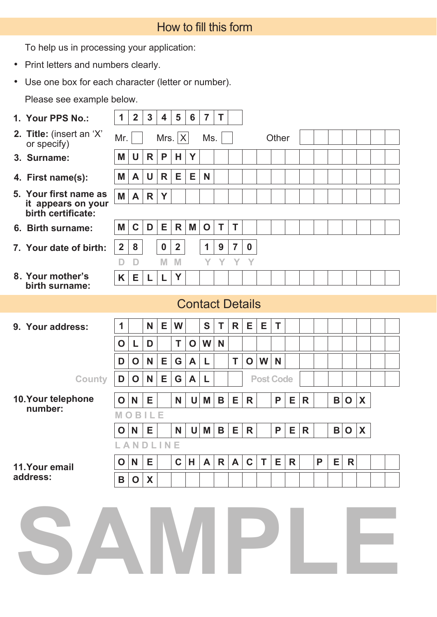| How to fill this form |  |  |
|-----------------------|--|--|
|                       |  |  |

To help us in processing your application:

- Print letters and numbers clearly.
- Use one box for each character (letter or number).

Please see example below.

| 1. Your PPS No.:                                                  | 1              | $\overline{2}$ | $\mathbf{3}$ | $\overline{\mathbf{4}}$ | 5                       | $6\phantom{1}6$ | $\overline{7}$         | T |                |                  |                  |       |              |   |   |   |              |   |  |
|-------------------------------------------------------------------|----------------|----------------|--------------|-------------------------|-------------------------|-----------------|------------------------|---|----------------|------------------|------------------|-------|--------------|---|---|---|--------------|---|--|
| 2. Title: (insert an 'X'<br>or specify)                           | Mr.            |                |              | Mrs. $ X $              |                         |                 | Ms.                    |   |                |                  |                  | Other |              |   |   |   |              |   |  |
| 3. Surname:                                                       | Μ              | U              | R            | P                       | H.                      | Y               |                        |   |                |                  |                  |       |              |   |   |   |              |   |  |
| 4. First name(s):                                                 | Μ              | A              | U            | R                       | Е                       | Е               | N                      |   |                |                  |                  |       |              |   |   |   |              |   |  |
| 5. Your first name as<br>it appears on your<br>birth certificate: | M              | A              | R            | Y                       |                         |                 |                        |   |                |                  |                  |       |              |   |   |   |              |   |  |
| 6. Birth surname:                                                 | Μ              | $\mathbf C$    | D            | Е                       | R                       | M               | $\mathbf O$            | T | $\mathsf T$    |                  |                  |       |              |   |   |   |              |   |  |
| 7. Your date of birth:                                            | $\overline{2}$ | 8              |              | $\boldsymbol{0}$        | $\overline{\mathbf{2}}$ |                 | 1                      | 9 | $\overline{7}$ | $\boldsymbol{0}$ |                  |       |              |   |   |   |              |   |  |
| 8. Your mother's<br>birth surname:                                | D<br>K         | D<br>Е         | L            | M<br>L                  | M<br>Y                  |                 | Y                      | Y | Y              | Y                |                  |       |              |   |   |   |              |   |  |
|                                                                   |                |                |              |                         |                         |                 | <b>Contact Details</b> |   |                |                  |                  |       |              |   |   |   |              |   |  |
| 9. Your address:                                                  | 1              |                | N            | Е                       | W                       |                 | S                      | T | R              | Е                | Е                | T     |              |   |   |   |              |   |  |
|                                                                   | O              | L              | D            |                         | T                       | $\mathbf O$     | W                      | N |                |                  |                  |       |              |   |   |   |              |   |  |
|                                                                   | D              | O              | N            | Е                       | G                       | A               | L                      |   | T              | $\mathbf O$      | W                | N     |              |   |   |   |              |   |  |
| <b>County</b>                                                     | D              | $\mathbf 0$    | N            | Е                       | G                       | A               | L                      |   |                |                  | <b>Post Code</b> |       |              |   |   |   |              |   |  |
| 10. Your telephone                                                | O              | N              | Е            |                         | N                       | U               | M                      | B | Е              | R                |                  | P     | Е            | R |   | В | $\mathbf O$  | X |  |
| number:                                                           | M              | $\circ$        | <b>BILE</b>  |                         |                         |                 |                        |   |                |                  |                  |       |              |   |   |   |              |   |  |
|                                                                   | O              | N              | Е            |                         | N                       | U               | M                      | B | Е              | R                |                  | P     | Е            | R |   | B | $\mathbf O$  | X |  |
|                                                                   |                | ANDLINE        |              |                         |                         |                 |                        |   |                |                  |                  |       |              |   |   |   |              |   |  |
| 11. Your email<br>address:                                        | O              | N              | E            |                         | $\mathbf C$             | H               | A                      | R | $\mathsf{A}$   | $\mathbf C$      | Т                | Е     | $\mathsf{R}$ |   | P | E | $\mathsf{R}$ |   |  |
|                                                                   | B              | O              | X            |                         |                         |                 |                        |   |                |                  |                  |       |              |   |   |   |              |   |  |
| SAMPI                                                             |                |                |              |                         |                         |                 |                        |   |                |                  |                  |       |              |   |   |   |              |   |  |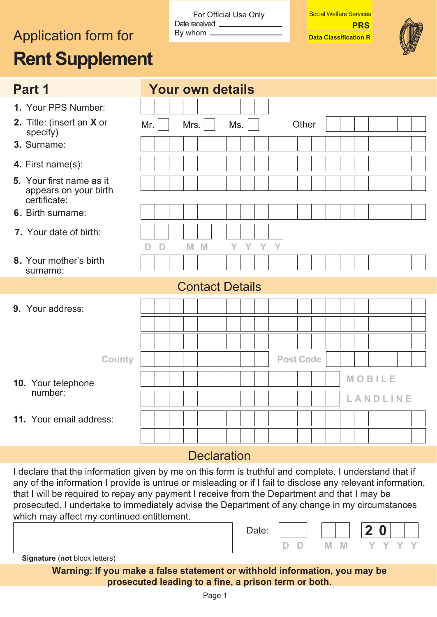# Application form for **By whom** <u>Data</u> Classification R **Rent Supplement**

For Official Use Only Date received \_ By whom

Social Welfare Services

**PRS** 



| Part 1                                                            | <b>Your own details</b>                  |
|-------------------------------------------------------------------|------------------------------------------|
| 1. Your PPS Number:                                               |                                          |
| 2. Title: (insert an X or<br>specify)                             | Mrs.<br>Ms.<br>Other<br>Mr.              |
| 3. Surname:                                                       |                                          |
| 4. First name(s):                                                 |                                          |
| 5. Your first name as it<br>appears on your birth<br>certificate: |                                          |
| 6. Birth surname:                                                 |                                          |
| 7. Your date of birth:                                            | M M<br>Y Y Y Y<br>$\mathsf{D}$<br>$\Box$ |
| 8. Your mother's birth<br>surname:                                |                                          |
|                                                                   | <b>Contact Details</b>                   |
| 9. Your address:                                                  |                                          |
|                                                                   |                                          |
|                                                                   |                                          |
| <b>County</b>                                                     | <b>Post Code</b>                         |
| 10. Your telephone                                                | MOBILE                                   |
| number:                                                           | LANDLINE                                 |
| 11. Your email address:                                           |                                          |
|                                                                   |                                          |
|                                                                   | $\sim$ $\sim$ $\sim$                     |

### **Declaration**

I declare that the information given by me on this form is truthful and complete. I understand that if any of the information I provide is untrue or misleading or if I fail to disclose any relevant information, that I will be required to repay any payment I receive from the Department and that I may be prosecuted. I undertake to immediately advise the Department of any change in my circumstances which may affect my continued entitlement.

|                                      | Date: |  |     |  |     |  |
|--------------------------------------|-------|--|-----|--|-----|--|
|                                      |       |  | IM. |  | v v |  |
| <b>Signature (not block letters)</b> |       |  |     |  |     |  |

**Warning: If you make a false statement or withhold information, you may be prosecuted leading to a fine, a prison term or both.**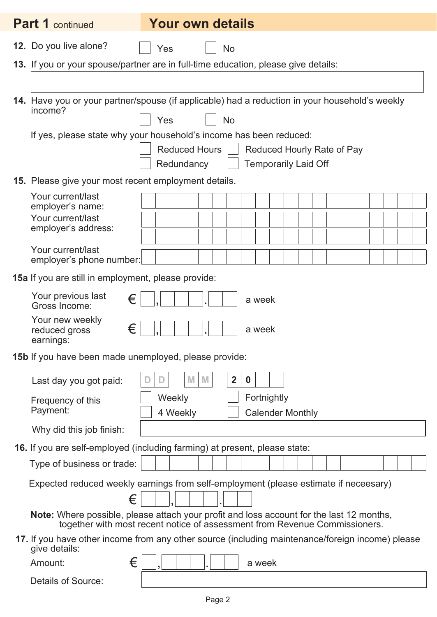| <b>Part 1</b> continued                                    | <b>Your own details</b>                                                                                                                                                |
|------------------------------------------------------------|------------------------------------------------------------------------------------------------------------------------------------------------------------------------|
| 12. Do you live alone?                                     | Yes<br>No                                                                                                                                                              |
|                                                            | 13. If you or your spouse/partner are in full-time education, please give details:                                                                                     |
|                                                            |                                                                                                                                                                        |
| income?                                                    | 14. Have you or your partner/spouse (if applicable) had a reduction in your household's weekly<br>Yes<br><b>No</b>                                                     |
|                                                            | If yes, please state why your household's income has been reduced:                                                                                                     |
|                                                            | <b>Reduced Hours</b><br><b>Reduced Hourly Rate of Pay</b>                                                                                                              |
|                                                            | Redundancy<br><b>Temporarily Laid Off</b>                                                                                                                              |
| 15. Please give your most recent employment details.       |                                                                                                                                                                        |
| Your current/last<br>employer's name:                      |                                                                                                                                                                        |
| Your current/last                                          |                                                                                                                                                                        |
| employer's address:                                        |                                                                                                                                                                        |
| Your current/last<br>employer's phone number:              |                                                                                                                                                                        |
| <b>15a</b> If you are still in employment, please provide: |                                                                                                                                                                        |
| Your previous last<br>€<br>Gross Income:                   | a week                                                                                                                                                                 |
| Your new weekly<br>€<br>reduced gross<br>earnings:         | a week                                                                                                                                                                 |
| 15b If you have been made unemployed, please provide:      |                                                                                                                                                                        |
| Last day you got paid:                                     | $\overline{2}$<br>$\boldsymbol{0}$                                                                                                                                     |
| Frequency of this                                          | Fortnightly<br>Weekly                                                                                                                                                  |
| Payment:                                                   | 4 Weekly<br><b>Calender Monthly</b>                                                                                                                                    |
| Why did this job finish:                                   |                                                                                                                                                                        |
|                                                            | 16. If you are self-employed (including farming) at present, please state:                                                                                             |
| Type of business or trade:                                 |                                                                                                                                                                        |
|                                                            | Expected reduced weekly earnings from self-employment (please estimate if neceesary)                                                                                   |
| €                                                          |                                                                                                                                                                        |
|                                                            | Note: Where possible, please attach your profit and loss account for the last 12 months,<br>together with most recent notice of assessment from Revenue Commissioners. |
| give details:                                              | 17. If you have other income from any other source (including maintenance/foreign income) please                                                                       |
| €<br>Amount:                                               | a week                                                                                                                                                                 |
| <b>Details of Source:</b>                                  |                                                                                                                                                                        |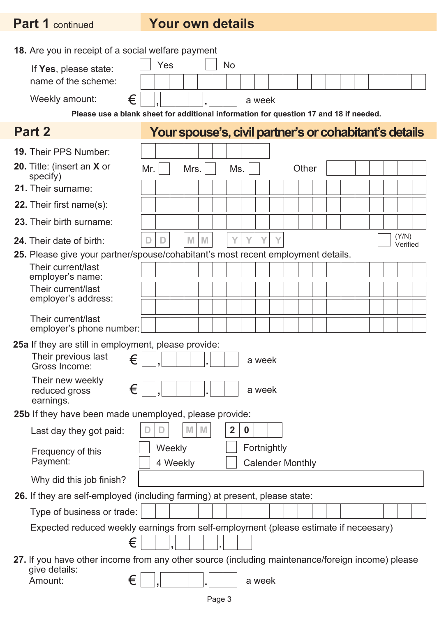# **Part 1** continued **Your own details**

| <b>18.</b> Are you in receipt of a social welfare payment                                               |     |          |  |        |  |                                                        |          |        |                         |  |       |  |  |  |                   |  |
|---------------------------------------------------------------------------------------------------------|-----|----------|--|--------|--|--------------------------------------------------------|----------|--------|-------------------------|--|-------|--|--|--|-------------------|--|
| If Yes, please state:                                                                                   |     | Yes      |  |        |  | <b>No</b>                                              |          |        |                         |  |       |  |  |  |                   |  |
| name of the scheme:                                                                                     |     |          |  |        |  |                                                        |          |        |                         |  |       |  |  |  |                   |  |
| €<br>Weekly amount:                                                                                     |     |          |  |        |  |                                                        |          | a week |                         |  |       |  |  |  |                   |  |
| Please use a blank sheet for additional information for question 17 and 18 if needed.                   |     |          |  |        |  |                                                        |          |        |                         |  |       |  |  |  |                   |  |
| Part 2                                                                                                  |     |          |  |        |  | Your spouse's, civil partner's or cohabitant's details |          |        |                         |  |       |  |  |  |                   |  |
| <b>19. Their PPS Number:</b>                                                                            |     |          |  |        |  |                                                        |          |        |                         |  |       |  |  |  |                   |  |
| 20. Title: (insert an X or<br>specify)                                                                  | Mr. |          |  | Mrs.   |  | Ms.                                                    |          |        |                         |  | Other |  |  |  |                   |  |
| 21. Their surname:                                                                                      |     |          |  |        |  |                                                        |          |        |                         |  |       |  |  |  |                   |  |
| 22. Their first name(s):                                                                                |     |          |  |        |  |                                                        |          |        |                         |  |       |  |  |  |                   |  |
| 23. Their birth surname:                                                                                |     |          |  |        |  |                                                        |          |        |                         |  |       |  |  |  |                   |  |
| <b>24.</b> Their date of birth:                                                                         |     |          |  | M<br>M |  |                                                        |          |        |                         |  |       |  |  |  | (Y/N)<br>Verified |  |
| 25. Please give your partner/spouse/cohabitant's most recent employment details.                        |     |          |  |        |  |                                                        |          |        |                         |  |       |  |  |  |                   |  |
| Their current/last<br>employer's name:                                                                  |     |          |  |        |  |                                                        |          |        |                         |  |       |  |  |  |                   |  |
| Their current/last                                                                                      |     |          |  |        |  |                                                        |          |        |                         |  |       |  |  |  |                   |  |
| employer's address:                                                                                     |     |          |  |        |  |                                                        |          |        |                         |  |       |  |  |  |                   |  |
| Their current/last<br>employer's phone number:                                                          |     |          |  |        |  |                                                        |          |        |                         |  |       |  |  |  |                   |  |
| <b>25a</b> If they are still in employment, please provide:                                             |     |          |  |        |  |                                                        |          |        |                         |  |       |  |  |  |                   |  |
| Their previous last<br>€<br>Gross Income:                                                               |     |          |  |        |  |                                                        |          | a week |                         |  |       |  |  |  |                   |  |
| Their new weekly<br>€<br>reduced gross<br>earnings.                                                     |     | ⊐"       |  |        |  |                                                        |          | a week |                         |  |       |  |  |  |                   |  |
| 25b If they have been made unemployed, please provide:                                                  |     |          |  |        |  |                                                        |          |        |                         |  |       |  |  |  |                   |  |
| Last day they got paid:                                                                                 |     |          |  | M      |  | $\overline{2}$                                         | $\bf{0}$ |        |                         |  |       |  |  |  |                   |  |
| Frequency of this<br>Payment:                                                                           |     | Weekly   |  |        |  |                                                        |          |        | Fortnightly             |  |       |  |  |  |                   |  |
|                                                                                                         |     | 4 Weekly |  |        |  |                                                        |          |        | <b>Calender Monthly</b> |  |       |  |  |  |                   |  |
| Why did this job finish?<br>26. If they are self-employed (including farming) at present, please state: |     |          |  |        |  |                                                        |          |        |                         |  |       |  |  |  |                   |  |
| Type of business or trade:                                                                              |     |          |  |        |  |                                                        |          |        |                         |  |       |  |  |  |                   |  |
| Expected reduced weekly earnings from self-employment (please estimate if neceesary)                    |     |          |  |        |  |                                                        |          |        |                         |  |       |  |  |  |                   |  |
| €                                                                                                       |     |          |  |        |  |                                                        |          |        |                         |  |       |  |  |  |                   |  |
| 27. If you have other income from any other source (including maintenance/foreign income) please        |     |          |  |        |  |                                                        |          |        |                         |  |       |  |  |  |                   |  |
| give details:<br>€<br>Amount:                                                                           |     |          |  |        |  |                                                        |          | a week |                         |  |       |  |  |  |                   |  |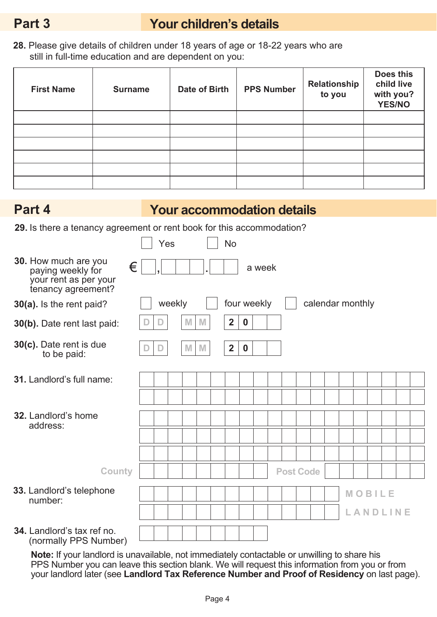# **Part 3 Your children's details**

**28.** Please give details of children under 18 years of age or 18-22 years who are still in full-time education and are dependent on you:

| <b>First Name</b> | <b>Surname</b> | Date of Birth | <b>PPS Number</b> | Relationship<br>to you | Does this<br>child live<br>with you?<br><b>YES/NO</b> |
|-------------------|----------------|---------------|-------------------|------------------------|-------------------------------------------------------|
|                   |                |               |                   |                        |                                                       |
|                   |                |               |                   |                        |                                                       |
|                   |                |               |                   |                        |                                                       |
|                   |                |               |                   |                        |                                                       |
|                   |                |               |                   |                        |                                                       |
|                   |                |               |                   |                        |                                                       |

# **Part 4 Your accommodation details**

**29.** Is there a tenancy agreement or rent book for this accommodation?

|                                                                                               |   | Yes |        |   |   | No.          |                  |        |  |                  |  |                  |          |  |  |
|-----------------------------------------------------------------------------------------------|---|-----|--------|---|---|--------------|------------------|--------|--|------------------|--|------------------|----------|--|--|
| 30. How much are you<br>€<br>paying weekly for<br>your rent as per your<br>tenancy agreement? |   |     |        |   |   |              |                  | a week |  |                  |  |                  |          |  |  |
| 30(a). Is the rent paid?                                                                      |   |     | weekly |   |   | four weekly  |                  |        |  |                  |  | calendar monthly |          |  |  |
| 30(b). Date rent last paid:                                                                   |   | D   |        | M | M | $\mathbf{2}$ | $\boldsymbol{0}$ |        |  |                  |  |                  |          |  |  |
| 30(c). Date rent is due<br>to be paid:                                                        | D | D   |        | M | M | $\mathbf{2}$ | $\boldsymbol{0}$ |        |  |                  |  |                  |          |  |  |
| 31. Landlord's full name:                                                                     |   |     |        |   |   |              |                  |        |  |                  |  |                  |          |  |  |
|                                                                                               |   |     |        |   |   |              |                  |        |  |                  |  |                  |          |  |  |
| <b>32.</b> Landlord's home<br>address:                                                        |   |     |        |   |   |              |                  |        |  |                  |  |                  |          |  |  |
|                                                                                               |   |     |        |   |   |              |                  |        |  |                  |  |                  |          |  |  |
|                                                                                               |   |     |        |   |   |              |                  |        |  |                  |  |                  |          |  |  |
| <b>County</b>                                                                                 |   |     |        |   |   |              |                  |        |  | <b>Post Code</b> |  |                  |          |  |  |
| 33. Landlord's telephone<br>number:                                                           |   |     |        |   |   |              |                  |        |  |                  |  |                  | MOBILE   |  |  |
|                                                                                               |   |     |        |   |   |              |                  |        |  |                  |  |                  | LANDLINE |  |  |
| <b>34.</b> Landlord's tax ref no.<br>(normally PPS Number)                                    |   |     |        |   |   |              |                  |        |  |                  |  |                  |          |  |  |

**Note:** If your landlord is unavailable, not immediately contactable or unwilling to share his PPS Number you can leave this section blank. We will request this information from you or from your landlord later (see **Landlord Tax Reference Number and Proof of Residency** on last page).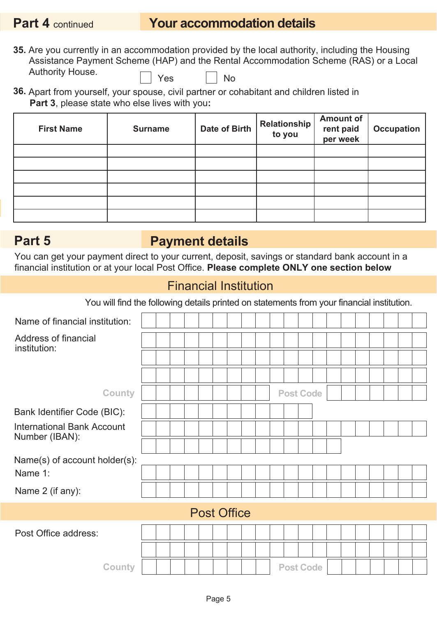# **Part 4 continued <b>Your accommodation details**

- **35.** Are you currently in an accommodation provided by the local authority, including the Housing Assistance Payment Scheme (HAP) and the Rental Accommodation Scheme (RAS) or a Local Authority House.  $\Box$  Yes  $\Box$  No
- **36.** Apart from yourself, your spouse, civil partner or cohabitant and children listed in **Part 3**, please state who else lives with you**:**

| <b>First Name</b> | <b>Surname</b> | <b>Date of Birth</b> | Relationship<br>to you | <b>Amount of</b><br>rent paid<br>per week | <b>Occupation</b> |
|-------------------|----------------|----------------------|------------------------|-------------------------------------------|-------------------|
|                   |                |                      |                        |                                           |                   |
|                   |                |                      |                        |                                           |                   |
|                   |                |                      |                        |                                           |                   |
|                   |                |                      |                        |                                           |                   |
|                   |                |                      |                        |                                           |                   |
|                   |                |                      |                        |                                           |                   |

## **Part 5 Payment details**

You can get your payment direct to your current, deposit, savings or standard bank account in a financial institution or at your local Post Office. **Please complete ONLY one section below**

### Financial Institution

| Name of financial institution:                      |  |  |                    |  |  |  |                  |  |  |  |  |
|-----------------------------------------------------|--|--|--------------------|--|--|--|------------------|--|--|--|--|
| Address of financial<br>institution:                |  |  |                    |  |  |  |                  |  |  |  |  |
|                                                     |  |  |                    |  |  |  |                  |  |  |  |  |
|                                                     |  |  |                    |  |  |  |                  |  |  |  |  |
| <b>County</b>                                       |  |  |                    |  |  |  | <b>Post Code</b> |  |  |  |  |
| Bank Identifier Code (BIC):                         |  |  |                    |  |  |  |                  |  |  |  |  |
| <b>International Bank Account</b><br>Number (IBAN): |  |  |                    |  |  |  |                  |  |  |  |  |
|                                                     |  |  |                    |  |  |  |                  |  |  |  |  |
| Name(s) of account holder(s):                       |  |  |                    |  |  |  |                  |  |  |  |  |
| Name 1:                                             |  |  |                    |  |  |  |                  |  |  |  |  |
| Name 2 (if any):                                    |  |  |                    |  |  |  |                  |  |  |  |  |
|                                                     |  |  | <b>Post Office</b> |  |  |  |                  |  |  |  |  |
| Post Office address:                                |  |  |                    |  |  |  |                  |  |  |  |  |
|                                                     |  |  |                    |  |  |  |                  |  |  |  |  |
| <b>County</b>                                       |  |  |                    |  |  |  | <b>Post Code</b> |  |  |  |  |